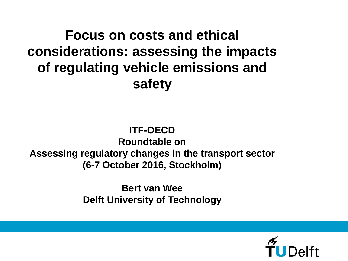# **Focus on costs and ethical considerations: assessing the impacts of regulating vehicle emissions and safety**

#### **ITF-OECD**

**Roundtable on Assessing regulatory changes in the transport sector (6-7 October 2016, Stockholm)**

> **Bert van Wee Delft University of Technology**

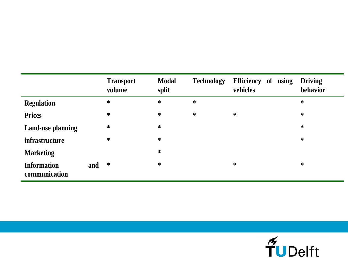|                                     |     | <b>Transport</b><br>volume | <b>Modal</b><br>split | <b>Technology</b> | Efficiency of<br>using<br>vehicles | <b>Driving</b><br>behavior |
|-------------------------------------|-----|----------------------------|-----------------------|-------------------|------------------------------------|----------------------------|
| <b>Regulation</b>                   |     | $\ast$                     | $\ast$                | $\ast$            |                                    | $\ast$                     |
| <b>Prices</b>                       |     | $\ast$                     | $\ast$                | $\ast$            | $\ast$                             | $\ast$                     |
| <b>Land-use planning</b>            |     | $\ast$                     | $\ast$                |                   |                                    | $\ast$                     |
| <i>infrastructure</i>               |     | $\ast$                     | $\ast$                |                   |                                    | $\ast$                     |
| <b>Marketing</b>                    |     |                            | $\ast$                |                   |                                    |                            |
| <b>Information</b><br>communication | and | $\ast$                     | $\ast$                |                   | $\ast$                             | $\ast$                     |

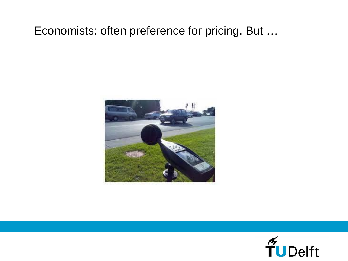#### Economists: often preference for pricing. But …



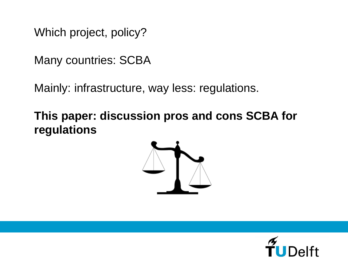Which project, policy?

Many countries: SCBA

Mainly: infrastructure, way less: regulations.

**This paper: discussion pros and cons SCBA for regulations**



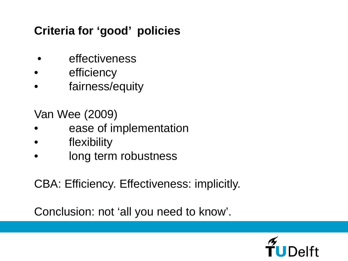# **Criteria for 'good' policies**

- effectiveness
- efficiency
- fairness/equity

Van Wee (2009)

- ease of implementation
- flexibility
- long term robustness

CBA: Efficiency. Effectiveness: implicitly.

Conclusion: not 'all you need to know'.

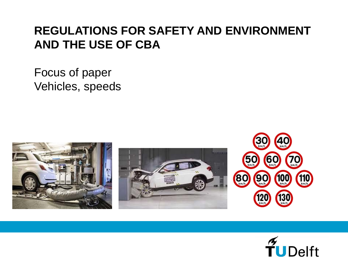## **REGULATIONS FOR SAFETY AND ENVIRONMENT AND THE USE OF CBA**

Focus of paper Vehicles, speeds







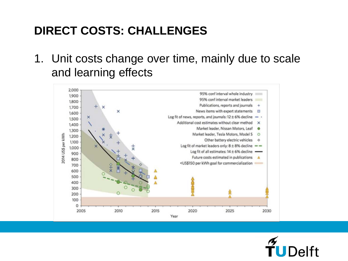# **DIRECT COSTS: CHALLENGES**

1. Unit costs change over time, mainly due to scale and learning effects



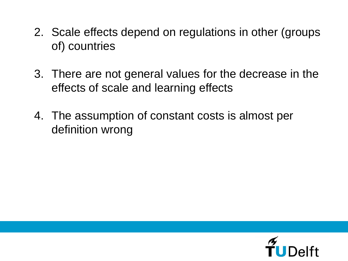- 2. Scale effects depend on regulations in other (groups of) countries
- 3. There are not general values for the decrease in the effects of scale and learning effects
- 4. The assumption of constant costs is almost per definition wrong

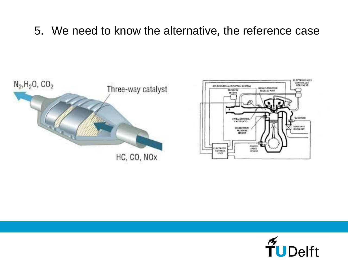#### 5. We need to know the alternative, the reference case





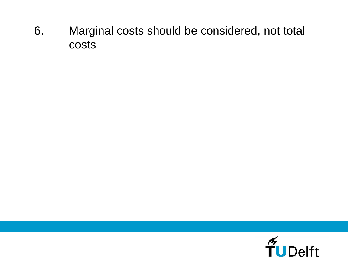6. Marginal costs should be considered, not total costs

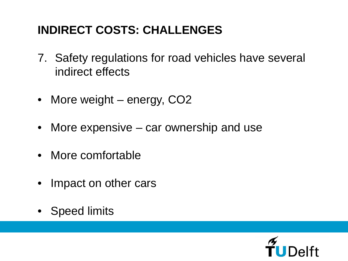# **INDIRECT COSTS: CHALLENGES**

- 7. Safety regulations for road vehicles have several indirect effects
- More weight energy, CO2
- More expensive car ownership and use
- More comfortable
- Impact on other cars
- Speed limits

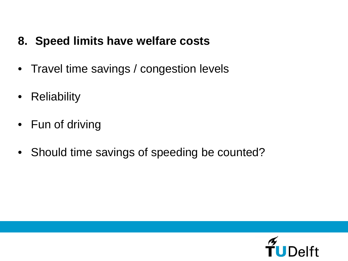### **8. Speed limits have welfare costs**

- Travel time savings / congestion levels
- Reliability
- Fun of driving
- Should time savings of speeding be counted?

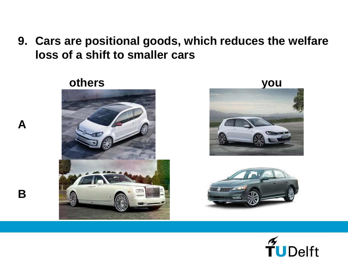**9. Cars are positional goods, which reduces the welfare loss of a shift to smaller cars**



**A**

**B**





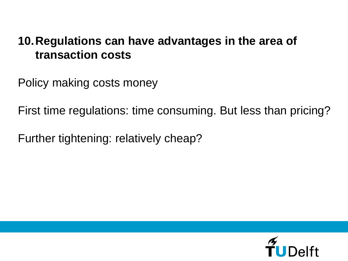### **10.Regulations can have advantages in the area of transaction costs**

Policy making costs money

First time regulations: time consuming. But less than pricing?

Further tightening: relatively cheap?

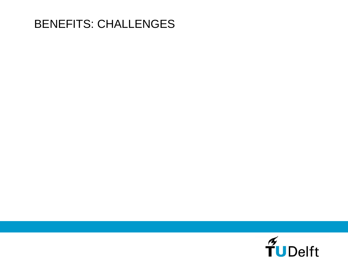# BENEFITS: CHALLENGES

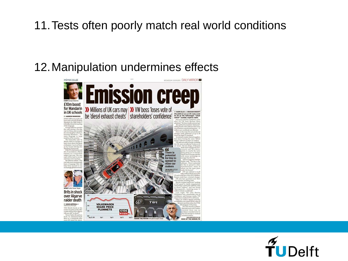### 11.Tests often poorly match real world conditions

# 12.Manipulation undermines effects



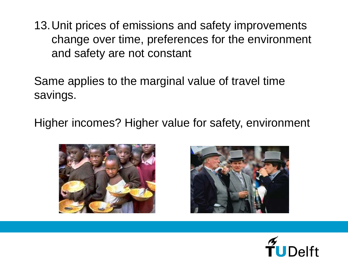13.Unit prices of emissions and safety improvements change over time, preferences for the environment and safety are not constant

Same applies to the marginal value of travel time savings.

Higher incomes? Higher value for safety, environment





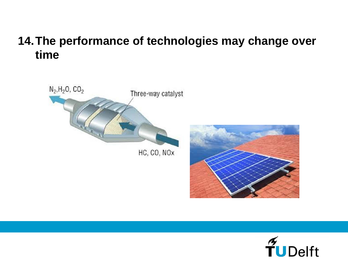### **14.The performance of technologies may change over time**





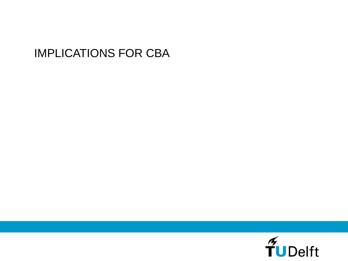## IMPLICATIONS FOR CBA

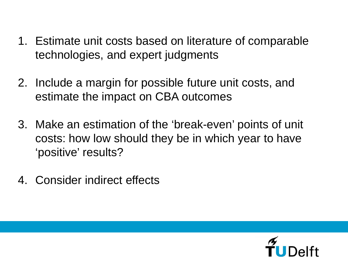- 1. Estimate unit costs based on literature of comparable technologies, and expert judgments
- 2. Include a margin for possible future unit costs, and estimate the impact on CBA outcomes
- 3. Make an estimation of the 'break-even' points of unit costs: how low should they be in which year to have 'positive' results?
- 4. Consider indirect effects

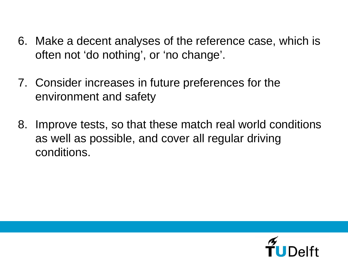- 6. Make a decent analyses of the reference case, which is often not 'do nothing', or 'no change'.
- 7. Consider increases in future preferences for the environment and safety
- 8. Improve tests, so that these match real world conditions as well as possible, and cover all regular driving conditions.

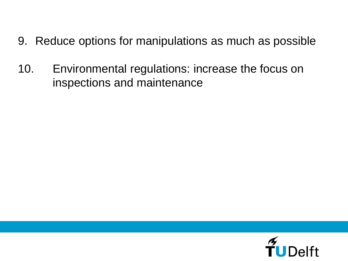- 9. Reduce options for manipulations as much as possible
- 10. Environmental regulations: increase the focus on inspections and maintenance

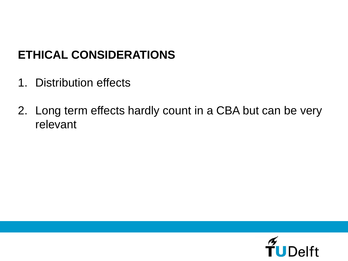# **ETHICAL CONSIDERATIONS**

- 1. Distribution effects
- 2. Long term effects hardly count in a CBA but can be very relevant

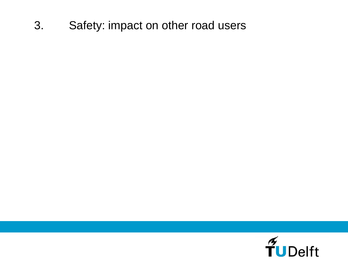### 3. Safety: impact on other road users

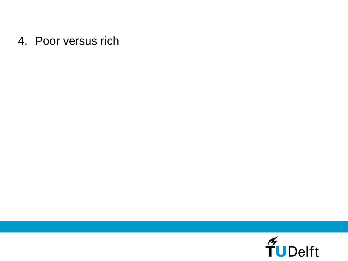#### 4. Poor versus rich

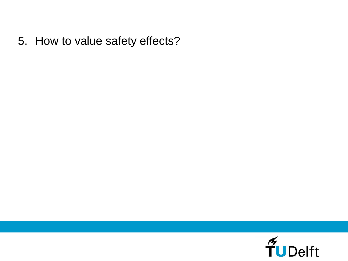5. How to value safety effects?

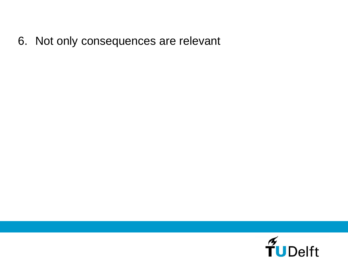6. Not only consequences are relevant

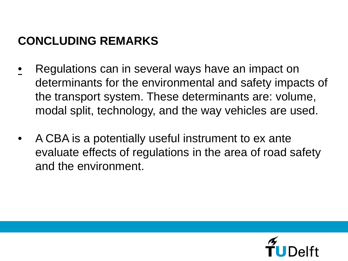# **CONCLUDING REMARKS**

- Regulations can in several ways have an impact on determinants for the environmental and safety impacts of the transport system. These determinants are: volume, modal split, technology, and the way vehicles are used.
- A CBA is a potentially useful instrument to ex ante evaluate effects of regulations in the area of road safety and the environment.

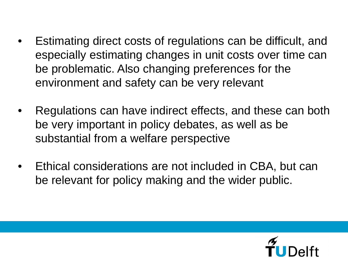- Estimating direct costs of regulations can be difficult, and especially estimating changes in unit costs over time can be problematic. Also changing preferences for the environment and safety can be very relevant
- Regulations can have indirect effects, and these can both be very important in policy debates, as well as be substantial from a welfare perspective
- Ethical considerations are not included in CBA, but can be relevant for policy making and the wider public.